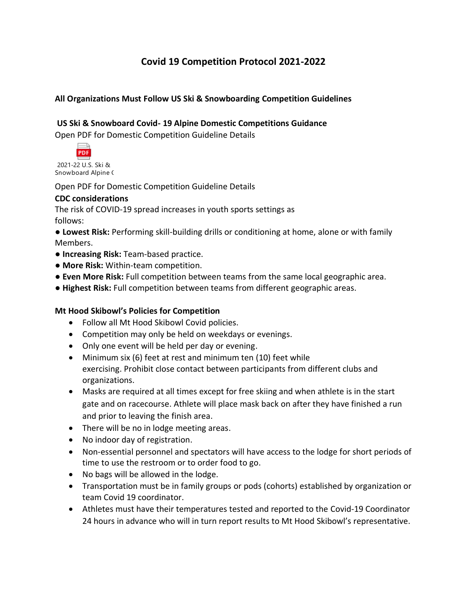# **Covid 19 Competition Protocol 2021-2022**

## **All Organizations Must Follow US Ski & Snowboarding Competition Guidelines**

## **US Ski & Snowboard Covid- 19 Alpine Domestic Competitions Guidance**

Open PDF for Domestic Competition Guideline Details



2021-22 U.S. Ski & Snowboard Alpine (

Open PDF for Domestic Competition Guideline Details

#### **CDC considerations**

The risk of COVID-19 spread increases in youth sports settings as follows:

● **Lowest Risk:** Performing skill-building drills or conditioning at home, alone or with family Members.

- **Increasing Risk:** Team-based practice.
- **More Risk:** Within-team competition.
- **Even More Risk:** Full competition between teams from the same local geographic area.
- **Highest Risk:** Full competition between teams from different geographic areas.

### **Mt Hood Skibowl's Policies for Competition**

- Follow all Mt Hood Skibowl Covid policies.
- Competition may only be held on weekdays or evenings.
- Only one event will be held per day or evening.
- Minimum six (6) feet at rest and minimum ten (10) feet while exercising. Prohibit close contact between participants from different clubs and organizations.
- Masks are required at all times except for free skiing and when athlete is in the start gate and on racecourse. Athlete will place mask back on after they have finished a run and prior to leaving the finish area.
- There will be no in lodge meeting areas.
- No indoor day of registration.
- Non-essential personnel and spectators will have access to the lodge for short periods of time to use the restroom or to order food to go.
- No bags will be allowed in the lodge.
- Transportation must be in family groups or pods (cohorts) established by organization or team Covid 19 coordinator.
- Athletes must have their temperatures tested and reported to the Covid-19 Coordinator 24 hours in advance who will in turn report results to Mt Hood Skibowl's representative.